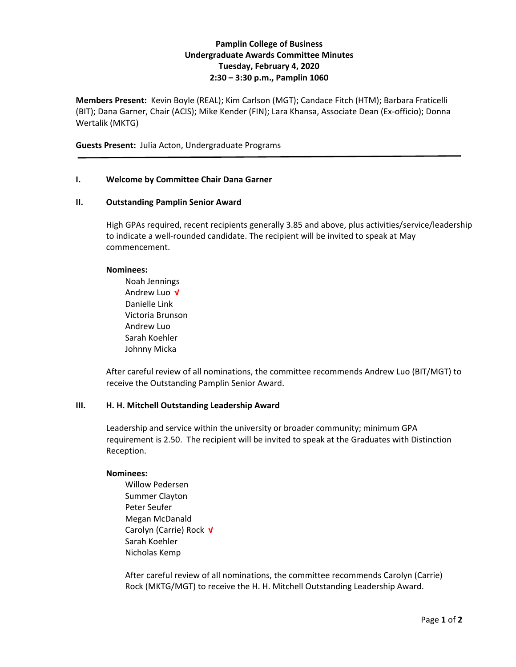# **Pamplin College of Business Undergraduate Awards Committee Minutes Tuesday, February 4, 2020 2:30 – 3:30 p.m., Pamplin 1060**

**Members Present:** Kevin Boyle (REAL); Kim Carlson (MGT); Candace Fitch (HTM); Barbara Fraticelli (BIT); Dana Garner, Chair (ACIS); Mike Kender (FIN); Lara Khansa, Associate Dean (Ex-officio); Donna Wertalik (MKTG)

**Guests Present:** Julia Acton, Undergraduate Programs

### **I. Welcome by Committee Chair Dana Garner**

#### **II. Outstanding Pamplin Senior Award**

High GPAs required, recent recipients generally 3.85 and above, plus activities/service/leadership to indicate a well-rounded candidate. The recipient will be invited to speak at May commencement.

#### **Nominees:**

Noah Jennings Andrew Luo **√** Danielle Link Victoria Brunson Andrew Luo Sarah Koehler Johnny Micka

After careful review of all nominations, the committee recommends Andrew Luo (BIT/MGT) to receive the Outstanding Pamplin Senior Award.

# **III. H. H. Mitchell Outstanding Leadership Award**

Leadership and service within the university or broader community; minimum GPA requirement is 2.50. The recipient will be invited to speak at the Graduates with Distinction Reception.

# **Nominees:**

Willow Pedersen Summer Clayton Peter Seufer Megan McDanald Carolyn (Carrie) Rock **√** Sarah Koehler Nicholas Kemp

After careful review of all nominations, the committee recommends Carolyn (Carrie) Rock (MKTG/MGT) to receive the H. H. Mitchell Outstanding Leadership Award.